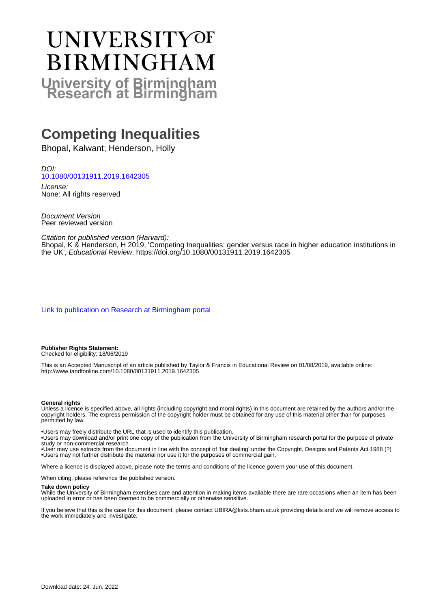# UNIVERSITYOF **BIRMINGHAM University of Birmingham**

# **Competing Inequalities**

Bhopal, Kalwant; Henderson, Holly

DOI: [10.1080/00131911.2019.1642305](https://doi.org/10.1080/00131911.2019.1642305)

License: None: All rights reserved

Document Version Peer reviewed version

Citation for published version (Harvard):

Bhopal, K & Henderson, H 2019, 'Competing Inequalities: gender versus race in higher education institutions in the UK', Educational Review.<https://doi.org/10.1080/00131911.2019.1642305>

[Link to publication on Research at Birmingham portal](https://birmingham.elsevierpure.com/en/publications/ac964ec1-9ae4-4e24-bb97-dc92e4e7f1b3)

**Publisher Rights Statement:** Checked for eligibility: 18/06/2019

This is an Accepted Manuscript of an article published by Taylor & Francis in Educational Review on 01/08/2019, available online: http://www.tandfonline.com/10.1080/00131911.2019.1642305

#### **General rights**

Unless a licence is specified above, all rights (including copyright and moral rights) in this document are retained by the authors and/or the copyright holders. The express permission of the copyright holder must be obtained for any use of this material other than for purposes permitted by law.

• Users may freely distribute the URL that is used to identify this publication.

• Users may download and/or print one copy of the publication from the University of Birmingham research portal for the purpose of private study or non-commercial research.

• User may use extracts from the document in line with the concept of 'fair dealing' under the Copyright, Designs and Patents Act 1988 (?) • Users may not further distribute the material nor use it for the purposes of commercial gain.

Where a licence is displayed above, please note the terms and conditions of the licence govern your use of this document.

When citing, please reference the published version.

#### **Take down policy**

While the University of Birmingham exercises care and attention in making items available there are rare occasions when an item has been uploaded in error or has been deemed to be commercially or otherwise sensitive.

If you believe that this is the case for this document, please contact UBIRA@lists.bham.ac.uk providing details and we will remove access to the work immediately and investigate.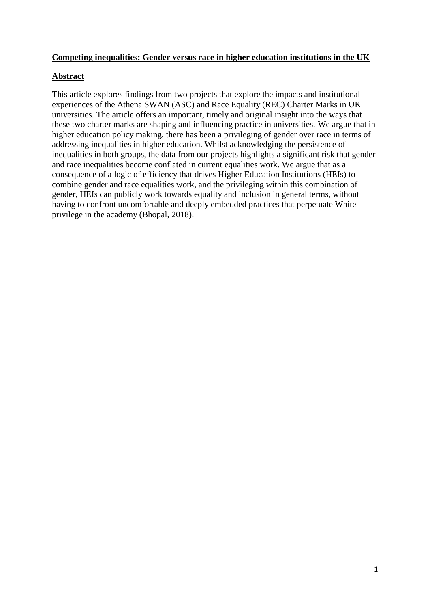# **Competing inequalities: Gender versus race in higher education institutions in the UK**

# **Abstract**

This article explores findings from two projects that explore the impacts and institutional experiences of the Athena SWAN (ASC) and Race Equality (REC) Charter Marks in UK universities. The article offers an important, timely and original insight into the ways that these two charter marks are shaping and influencing practice in universities. We argue that in higher education policy making, there has been a privileging of gender over race in terms of addressing inequalities in higher education. Whilst acknowledging the persistence of inequalities in both groups, the data from our projects highlights a significant risk that gender and race inequalities become conflated in current equalities work. We argue that as a consequence of a logic of efficiency that drives Higher Education Institutions (HEIs) to combine gender and race equalities work, and the privileging within this combination of gender, HEIs can publicly work towards equality and inclusion in general terms, without having to confront uncomfortable and deeply embedded practices that perpetuate White privilege in the academy (Bhopal, 2018).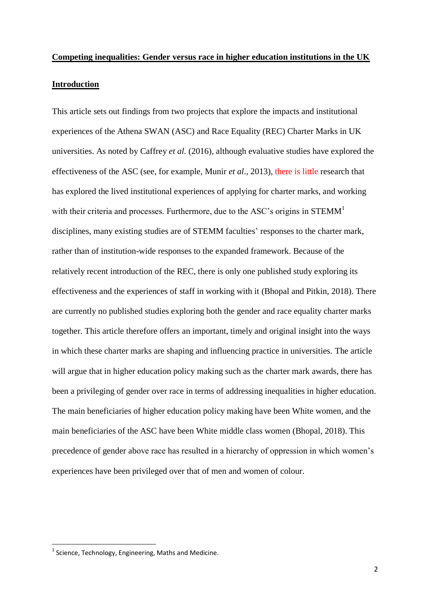# **Competing inequalities: Gender versus race in higher education institutions in the UK**

# **Introduction**

This article sets out findings from two projects that explore the impacts and institutional experiences of the Athena SWAN (ASC) and Race Equality (REC) Charter Marks in UK universities. As noted by Caffrey *et al.* (2016), although evaluative studies have explored the effectiveness of the ASC (see, for example, Munir *et al*., 2013), there is little research that has explored the lived institutional experiences of applying for charter marks, and working with their criteria and processes. Furthermore, due to the ASC's origins in  $STEMM<sup>1</sup>$ disciplines, many existing studies are of STEMM faculties' responses to the charter mark, rather than of institution-wide responses to the expanded framework. Because of the relatively recent introduction of the REC, there is only one published study exploring its effectiveness and the experiences of staff in working with it (Bhopal and Pitkin, 2018). There are currently no published studies exploring both the gender and race equality charter marks together. This article therefore offers an important, timely and original insight into the ways in which these charter marks are shaping and influencing practice in universities. The article will argue that in higher education policy making such as the charter mark awards, there has been a privileging of gender over race in terms of addressing inequalities in higher education. The main beneficiaries of higher education policy making have been White women, and the main beneficiaries of the ASC have been White middle class women (Bhopal, 2018). This precedence of gender above race has resulted in a hierarchy of oppression in which women's experiences have been privileged over that of men and women of colour.

**The Landsid Concord Concord Concord Concord**<br><sup>1</sup> Science, Technology, Engineering, Maths and Medicine.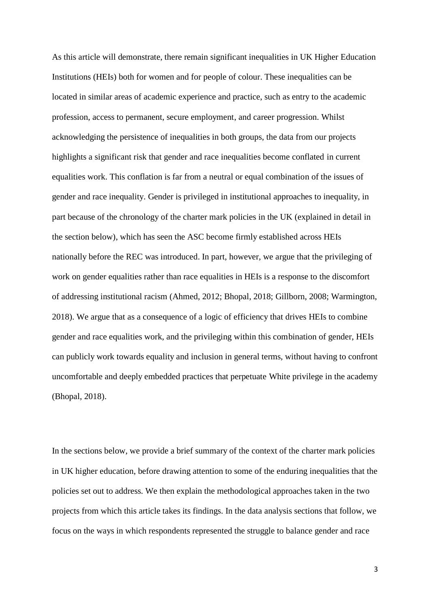As this article will demonstrate, there remain significant inequalities in UK Higher Education Institutions (HEIs) both for women and for people of colour. These inequalities can be located in similar areas of academic experience and practice, such as entry to the academic profession, access to permanent, secure employment, and career progression. Whilst acknowledging the persistence of inequalities in both groups, the data from our projects highlights a significant risk that gender and race inequalities become conflated in current equalities work. This conflation is far from a neutral or equal combination of the issues of gender and race inequality. Gender is privileged in institutional approaches to inequality, in part because of the chronology of the charter mark policies in the UK (explained in detail in the section below), which has seen the ASC become firmly established across HEIs nationally before the REC was introduced. In part, however, we argue that the privileging of work on gender equalities rather than race equalities in HEIs is a response to the discomfort of addressing institutional racism (Ahmed, 2012; Bhopal, 2018; Gillborn, 2008; Warmington, 2018). We argue that as a consequence of a logic of efficiency that drives HEIs to combine gender and race equalities work, and the privileging within this combination of gender, HEIs can publicly work towards equality and inclusion in general terms, without having to confront uncomfortable and deeply embedded practices that perpetuate White privilege in the academy (Bhopal, 2018).

In the sections below, we provide a brief summary of the context of the charter mark policies in UK higher education, before drawing attention to some of the enduring inequalities that the policies set out to address. We then explain the methodological approaches taken in the two projects from which this article takes its findings. In the data analysis sections that follow, we focus on the ways in which respondents represented the struggle to balance gender and race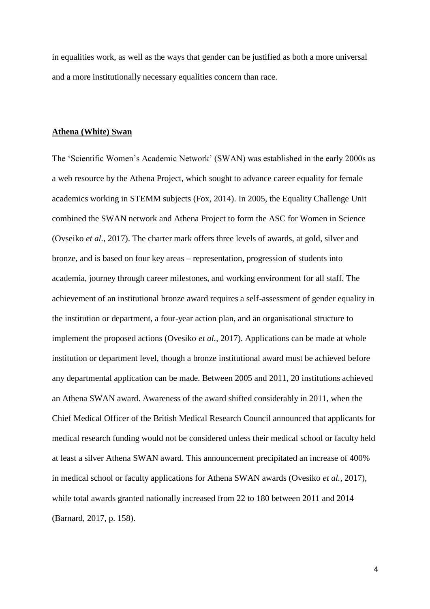in equalities work, as well as the ways that gender can be justified as both a more universal and a more institutionally necessary equalities concern than race.

## **Athena (White) Swan**

The 'Scientific Women's Academic Network' (SWAN) was established in the early 2000s as a web resource by the Athena Project, which sought to advance career equality for female academics working in STEMM subjects (Fox, 2014). In 2005, the Equality Challenge Unit combined the SWAN network and Athena Project to form the ASC for Women in Science (Ovseiko *et al.*, 2017). The charter mark offers three levels of awards, at gold, silver and bronze, and is based on four key areas – representation, progression of students into academia, journey through career milestones, and working environment for all staff. The achievement of an institutional bronze award requires a self-assessment of gender equality in the institution or department, a four-year action plan, and an organisational structure to implement the proposed actions (Ovesiko *et al.*, 2017). Applications can be made at whole institution or department level, though a bronze institutional award must be achieved before any departmental application can be made. Between 2005 and 2011, 20 institutions achieved an Athena SWAN award. Awareness of the award shifted considerably in 2011, when the Chief Medical Officer of the British Medical Research Council announced that applicants for medical research funding would not be considered unless their medical school or faculty held at least a silver Athena SWAN award. This announcement precipitated an increase of 400% in medical school or faculty applications for Athena SWAN awards (Ovesiko *et al.*, 2017), while total awards granted nationally increased from 22 to 180 between 2011 and 2014 (Barnard, 2017, p. 158).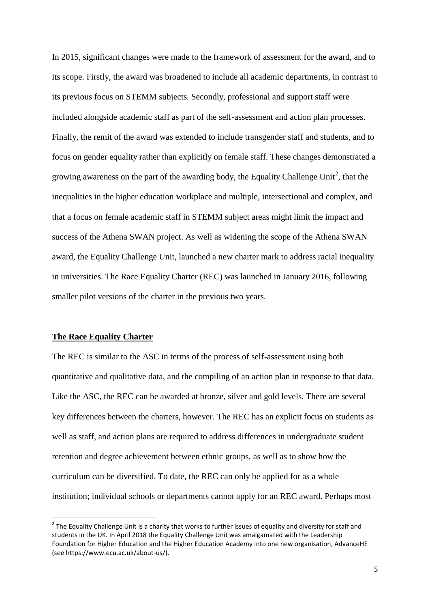In 2015, significant changes were made to the framework of assessment for the award, and to its scope. Firstly, the award was broadened to include all academic departments, in contrast to its previous focus on STEMM subjects. Secondly, professional and support staff were included alongside academic staff as part of the self-assessment and action plan processes. Finally, the remit of the award was extended to include transgender staff and students, and to focus on gender equality rather than explicitly on female staff. These changes demonstrated a growing awareness on the part of the awarding body, the Equality Challenge Unit<sup>2</sup>, that the inequalities in the higher education workplace and multiple, intersectional and complex, and that a focus on female academic staff in STEMM subject areas might limit the impact and success of the Athena SWAN project. As well as widening the scope of the Athena SWAN award, the Equality Challenge Unit, launched a new charter mark to address racial inequality in universities. The Race Equality Charter (REC) was launched in January 2016, following smaller pilot versions of the charter in the previous two years.

#### **The Race Equality Charter**

1

The REC is similar to the ASC in terms of the process of self-assessment using both quantitative and qualitative data, and the compiling of an action plan in response to that data. Like the ASC, the REC can be awarded at bronze, silver and gold levels. There are several key differences between the charters, however. The REC has an explicit focus on students as well as staff, and action plans are required to address differences in undergraduate student retention and degree achievement between ethnic groups, as well as to show how the curriculum can be diversified. To date, the REC can only be applied for as a whole institution; individual schools or departments cannot apply for an REC award. Perhaps most

 $2$  The Equality Challenge Unit is a charity that works to further issues of equality and diversity for staff and students in the UK. In April 2018 the Equality Challenge Unit was amalgamated with the Leadership Foundation for Higher Education and the Higher Education Academy into one new organisation, AdvanceHE (see https://www.ecu.ac.uk/about-us/).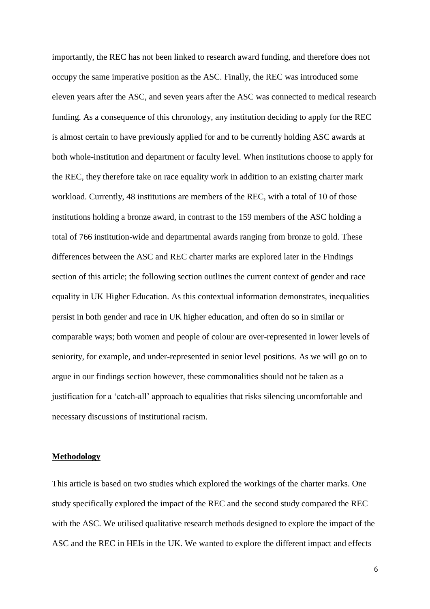importantly, the REC has not been linked to research award funding, and therefore does not occupy the same imperative position as the ASC. Finally, the REC was introduced some eleven years after the ASC, and seven years after the ASC was connected to medical research funding. As a consequence of this chronology, any institution deciding to apply for the REC is almost certain to have previously applied for and to be currently holding ASC awards at both whole-institution and department or faculty level. When institutions choose to apply for the REC, they therefore take on race equality work in addition to an existing charter mark workload. Currently, 48 institutions are members of the REC, with a total of 10 of those institutions holding a bronze award, in contrast to the 159 members of the ASC holding a total of 766 institution-wide and departmental awards ranging from bronze to gold. These differences between the ASC and REC charter marks are explored later in the Findings section of this article; the following section outlines the current context of gender and race equality in UK Higher Education. As this contextual information demonstrates, inequalities persist in both gender and race in UK higher education, and often do so in similar or comparable ways; both women and people of colour are over-represented in lower levels of seniority, for example, and under-represented in senior level positions. As we will go on to argue in our findings section however, these commonalities should not be taken as a justification for a 'catch-all' approach to equalities that risks silencing uncomfortable and necessary discussions of institutional racism.

### **Methodology**

This article is based on two studies which explored the workings of the charter marks. One study specifically explored the impact of the REC and the second study compared the REC with the ASC. We utilised qualitative research methods designed to explore the impact of the ASC and the REC in HEIs in the UK. We wanted to explore the different impact and effects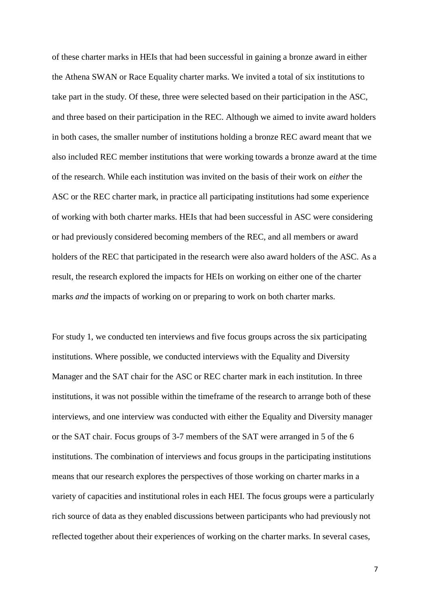of these charter marks in HEIs that had been successful in gaining a bronze award in either the Athena SWAN or Race Equality charter marks. We invited a total of six institutions to take part in the study. Of these, three were selected based on their participation in the ASC, and three based on their participation in the REC. Although we aimed to invite award holders in both cases, the smaller number of institutions holding a bronze REC award meant that we also included REC member institutions that were working towards a bronze award at the time of the research. While each institution was invited on the basis of their work on *either* the ASC or the REC charter mark, in practice all participating institutions had some experience of working with both charter marks. HEIs that had been successful in ASC were considering or had previously considered becoming members of the REC, and all members or award holders of the REC that participated in the research were also award holders of the ASC. As a result, the research explored the impacts for HEIs on working on either one of the charter marks *and* the impacts of working on or preparing to work on both charter marks.

For study 1, we conducted ten interviews and five focus groups across the six participating institutions. Where possible, we conducted interviews with the Equality and Diversity Manager and the SAT chair for the ASC or REC charter mark in each institution. In three institutions, it was not possible within the timeframe of the research to arrange both of these interviews, and one interview was conducted with either the Equality and Diversity manager or the SAT chair. Focus groups of 3-7 members of the SAT were arranged in 5 of the 6 institutions. The combination of interviews and focus groups in the participating institutions means that our research explores the perspectives of those working on charter marks in a variety of capacities and institutional roles in each HEI. The focus groups were a particularly rich source of data as they enabled discussions between participants who had previously not reflected together about their experiences of working on the charter marks. In several cases,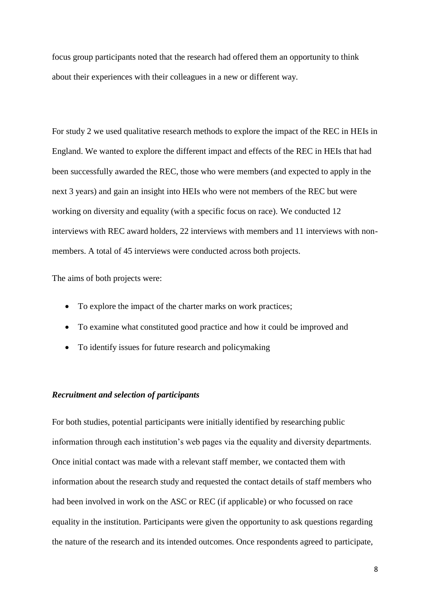focus group participants noted that the research had offered them an opportunity to think about their experiences with their colleagues in a new or different way.

For study 2 we used qualitative research methods to explore the impact of the REC in HEIs in England. We wanted to explore the different impact and effects of the REC in HEIs that had been successfully awarded the REC, those who were members (and expected to apply in the next 3 years) and gain an insight into HEIs who were not members of the REC but were working on diversity and equality (with a specific focus on race). We conducted 12 interviews with REC award holders, 22 interviews with members and 11 interviews with nonmembers. A total of 45 interviews were conducted across both projects.

The aims of both projects were:

- To explore the impact of the charter marks on work practices;
- To examine what constituted good practice and how it could be improved and
- To identify issues for future research and policymaking

# *Recruitment and selection of participants*

For both studies, potential participants were initially identified by researching public information through each institution's web pages via the equality and diversity departments. Once initial contact was made with a relevant staff member, we contacted them with information about the research study and requested the contact details of staff members who had been involved in work on the ASC or REC (if applicable) or who focussed on race equality in the institution. Participants were given the opportunity to ask questions regarding the nature of the research and its intended outcomes. Once respondents agreed to participate,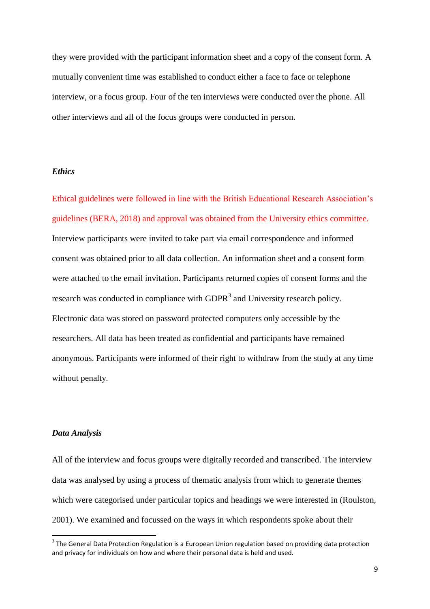they were provided with the participant information sheet and a copy of the consent form. A mutually convenient time was established to conduct either a face to face or telephone interview, or a focus group. Four of the ten interviews were conducted over the phone. All other interviews and all of the focus groups were conducted in person.

# *Ethics*

Ethical guidelines were followed in line with the British Educational Research Association's guidelines (BERA, 2018) and approval was obtained from the University ethics committee. Interview participants were invited to take part via email correspondence and informed consent was obtained prior to all data collection. An information sheet and a consent form were attached to the email invitation. Participants returned copies of consent forms and the research was conducted in compliance with  $GDPR<sup>3</sup>$  and University research policy. Electronic data was stored on password protected computers only accessible by the researchers. All data has been treated as confidential and participants have remained anonymous. Participants were informed of their right to withdraw from the study at any time without penalty.

# *Data Analysis*

1

All of the interview and focus groups were digitally recorded and transcribed. The interview data was analysed by using a process of thematic analysis from which to generate themes which were categorised under particular topics and headings we were interested in (Roulston, 2001). We examined and focussed on the ways in which respondents spoke about their

<sup>&</sup>lt;sup>3</sup> The General Data Protection Regulation is a European Union regulation based on providing data protection and privacy for individuals on how and where their personal data is held and used.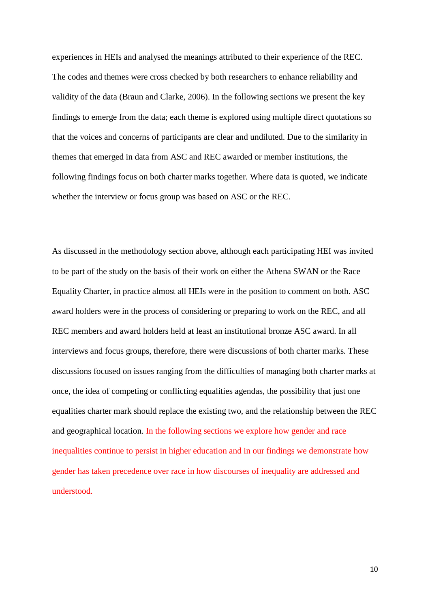experiences in HEIs and analysed the meanings attributed to their experience of the REC. The codes and themes were cross checked by both researchers to enhance reliability and validity of the data (Braun and Clarke, 2006). In the following sections we present the key findings to emerge from the data; each theme is explored using multiple direct quotations so that the voices and concerns of participants are clear and undiluted. Due to the similarity in themes that emerged in data from ASC and REC awarded or member institutions, the following findings focus on both charter marks together. Where data is quoted, we indicate whether the interview or focus group was based on ASC or the REC.

As discussed in the methodology section above, although each participating HEI was invited to be part of the study on the basis of their work on either the Athena SWAN or the Race Equality Charter, in practice almost all HEIs were in the position to comment on both. ASC award holders were in the process of considering or preparing to work on the REC, and all REC members and award holders held at least an institutional bronze ASC award. In all interviews and focus groups, therefore, there were discussions of both charter marks. These discussions focused on issues ranging from the difficulties of managing both charter marks at once, the idea of competing or conflicting equalities agendas, the possibility that just one equalities charter mark should replace the existing two, and the relationship between the REC and geographical location. In the following sections we explore how gender and race inequalities continue to persist in higher education and in our findings we demonstrate how gender has taken precedence over race in how discourses of inequality are addressed and understood.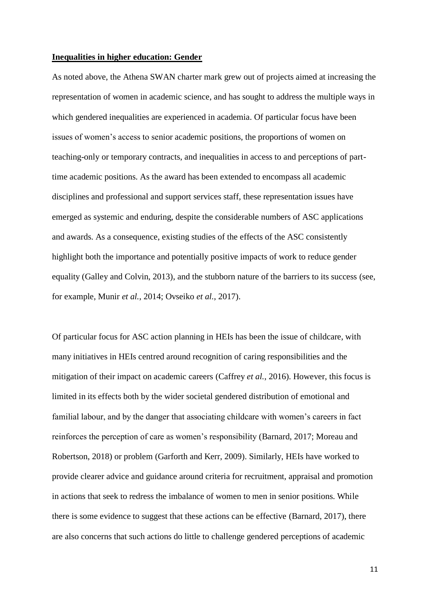#### **Inequalities in higher education: Gender**

As noted above, the Athena SWAN charter mark grew out of projects aimed at increasing the representation of women in academic science, and has sought to address the multiple ways in which gendered inequalities are experienced in academia. Of particular focus have been issues of women's access to senior academic positions, the proportions of women on teaching-only or temporary contracts, and inequalities in access to and perceptions of parttime academic positions. As the award has been extended to encompass all academic disciplines and professional and support services staff, these representation issues have emerged as systemic and enduring, despite the considerable numbers of ASC applications and awards. As a consequence, existing studies of the effects of the ASC consistently highlight both the importance and potentially positive impacts of work to reduce gender equality (Galley and Colvin, 2013), and the stubborn nature of the barriers to its success (see, for example, Munir *et al.*, 2014; Ovseiko *et al.*, 2017).

Of particular focus for ASC action planning in HEIs has been the issue of childcare, with many initiatives in HEIs centred around recognition of caring responsibilities and the mitigation of their impact on academic careers (Caffrey *et al.*, 2016). However, this focus is limited in its effects both by the wider societal gendered distribution of emotional and familial labour, and by the danger that associating childcare with women's careers in fact reinforces the perception of care as women's responsibility (Barnard, 2017; Moreau and Robertson, 2018) or problem (Garforth and Kerr, 2009). Similarly, HEIs have worked to provide clearer advice and guidance around criteria for recruitment, appraisal and promotion in actions that seek to redress the imbalance of women to men in senior positions. While there is some evidence to suggest that these actions can be effective (Barnard, 2017), there are also concerns that such actions do little to challenge gendered perceptions of academic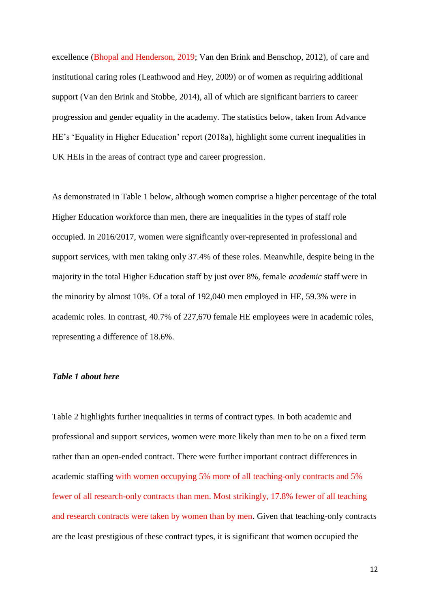excellence (Bhopal and Henderson, 2019; Van den Brink and Benschop, 2012), of care and institutional caring roles (Leathwood and Hey, 2009) or of women as requiring additional support (Van den Brink and Stobbe, 2014), all of which are significant barriers to career progression and gender equality in the academy. The statistics below, taken from Advance HE's 'Equality in Higher Education' report (2018a), highlight some current inequalities in UK HEIs in the areas of contract type and career progression.

As demonstrated in Table 1 below, although women comprise a higher percentage of the total Higher Education workforce than men, there are inequalities in the types of staff role occupied. In 2016/2017, women were significantly over-represented in professional and support services, with men taking only 37.4% of these roles. Meanwhile, despite being in the majority in the total Higher Education staff by just over 8%, female *academic* staff were in the minority by almost 10%. Of a total of 192,040 men employed in HE, 59.3% were in academic roles. In contrast, 40.7% of 227,670 female HE employees were in academic roles, representing a difference of 18.6%.

# *Table 1 about here*

Table 2 highlights further inequalities in terms of contract types. In both academic and professional and support services, women were more likely than men to be on a fixed term rather than an open-ended contract. There were further important contract differences in academic staffing with women occupying 5% more of all teaching-only contracts and 5% fewer of all research-only contracts than men. Most strikingly, 17.8% fewer of all teaching and research contracts were taken by women than by men. Given that teaching-only contracts are the least prestigious of these contract types, it is significant that women occupied the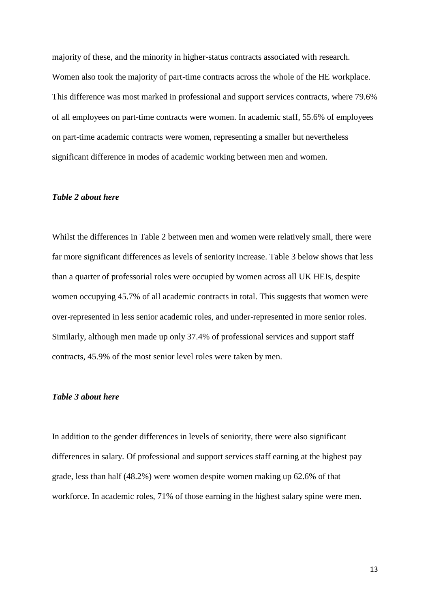majority of these, and the minority in higher-status contracts associated with research. Women also took the majority of part-time contracts across the whole of the HE workplace. This difference was most marked in professional and support services contracts, where 79.6% of all employees on part-time contracts were women. In academic staff, 55.6% of employees on part-time academic contracts were women, representing a smaller but nevertheless significant difference in modes of academic working between men and women.

#### *Table 2 about here*

Whilst the differences in Table 2 between men and women were relatively small, there were far more significant differences as levels of seniority increase. Table 3 below shows that less than a quarter of professorial roles were occupied by women across all UK HEIs, despite women occupying 45.7% of all academic contracts in total. This suggests that women were over-represented in less senior academic roles, and under-represented in more senior roles. Similarly, although men made up only 37.4% of professional services and support staff contracts, 45.9% of the most senior level roles were taken by men.

# *Table 3 about here*

In addition to the gender differences in levels of seniority, there were also significant differences in salary. Of professional and support services staff earning at the highest pay grade, less than half (48.2%) were women despite women making up 62.6% of that workforce. In academic roles, 71% of those earning in the highest salary spine were men.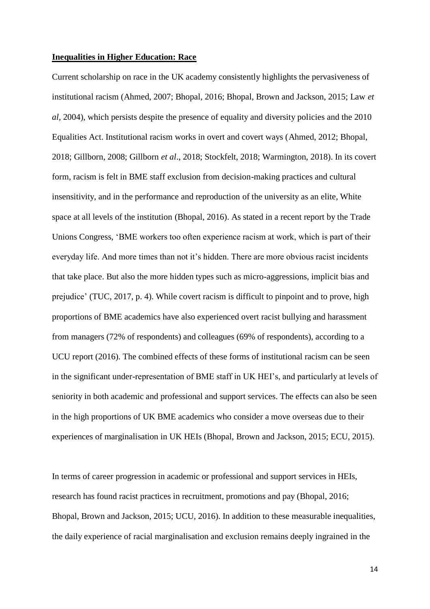#### **Inequalities in Higher Education: Race**

Current scholarship on race in the UK academy consistently highlights the pervasiveness of institutional racism (Ahmed, 2007; Bhopal, 2016; Bhopal, Brown and Jackson, 2015; Law *et al,* 2004), which persists despite the presence of equality and diversity policies and the 2010 Equalities Act. Institutional racism works in overt and covert ways (Ahmed, 2012; Bhopal, 2018; Gillborn, 2008; Gillborn *et al*., 2018; Stockfelt, 2018; Warmington, 2018). In its covert form, racism is felt in BME staff exclusion from decision-making practices and cultural insensitivity, and in the performance and reproduction of the university as an elite, White space at all levels of the institution (Bhopal, 2016). As stated in a recent report by the Trade Unions Congress, 'BME workers too often experience racism at work, which is part of their everyday life. And more times than not it's hidden. There are more obvious racist incidents that take place. But also the more hidden types such as micro-aggressions, implicit bias and prejudice' (TUC, 2017, p. 4). While covert racism is difficult to pinpoint and to prove, high proportions of BME academics have also experienced overt racist bullying and harassment from managers (72% of respondents) and colleagues (69% of respondents), according to a UCU report (2016). The combined effects of these forms of institutional racism can be seen in the significant under-representation of BME staff in UK HEI's, and particularly at levels of seniority in both academic and professional and support services. The effects can also be seen in the high proportions of UK BME academics who consider a move overseas due to their experiences of marginalisation in UK HEIs (Bhopal, Brown and Jackson, 2015; ECU, 2015).

In terms of career progression in academic or professional and support services in HEIs, research has found racist practices in recruitment, promotions and pay (Bhopal, 2016; Bhopal, Brown and Jackson, 2015; UCU, 2016). In addition to these measurable inequalities, the daily experience of racial marginalisation and exclusion remains deeply ingrained in the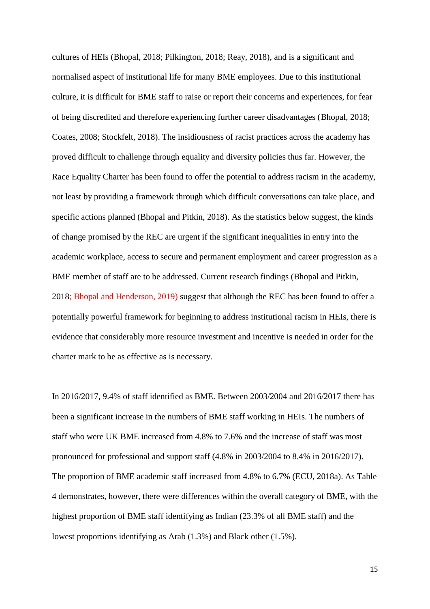cultures of HEIs (Bhopal, 2018; Pilkington, 2018; Reay, 2018), and is a significant and normalised aspect of institutional life for many BME employees. Due to this institutional culture, it is difficult for BME staff to raise or report their concerns and experiences, for fear of being discredited and therefore experiencing further career disadvantages (Bhopal, 2018; Coates, 2008; Stockfelt, 2018). The insidiousness of racist practices across the academy has proved difficult to challenge through equality and diversity policies thus far. However, the Race Equality Charter has been found to offer the potential to address racism in the academy, not least by providing a framework through which difficult conversations can take place, and specific actions planned (Bhopal and Pitkin, 2018). As the statistics below suggest, the kinds of change promised by the REC are urgent if the significant inequalities in entry into the academic workplace, access to secure and permanent employment and career progression as a BME member of staff are to be addressed. Current research findings (Bhopal and Pitkin, 2018; Bhopal and Henderson, 2019) suggest that although the REC has been found to offer a potentially powerful framework for beginning to address institutional racism in HEIs, there is evidence that considerably more resource investment and incentive is needed in order for the charter mark to be as effective as is necessary.

In 2016/2017, 9.4% of staff identified as BME. Between 2003/2004 and 2016/2017 there has been a significant increase in the numbers of BME staff working in HEIs. The numbers of staff who were UK BME increased from 4.8% to 7.6% and the increase of staff was most pronounced for professional and support staff (4.8% in 2003/2004 to 8.4% in 2016/2017). The proportion of BME academic staff increased from 4.8% to 6.7% (ECU, 2018a). As Table 4 demonstrates, however, there were differences within the overall category of BME, with the highest proportion of BME staff identifying as Indian (23.3% of all BME staff) and the lowest proportions identifying as Arab (1.3%) and Black other (1.5%).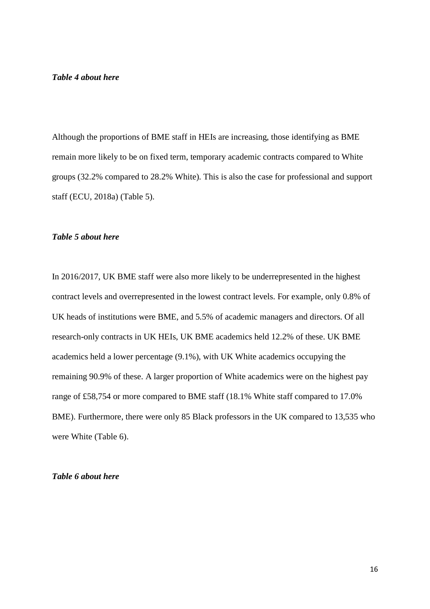### *Table 4 about here*

Although the proportions of BME staff in HEIs are increasing, those identifying as BME remain more likely to be on fixed term, temporary academic contracts compared to White groups (32.2% compared to 28.2% White). This is also the case for professional and support staff (ECU, 2018a) (Table 5).

# *Table 5 about here*

In 2016/2017, UK BME staff were also more likely to be underrepresented in the highest contract levels and overrepresented in the lowest contract levels. For example, only 0.8% of UK heads of institutions were BME, and 5.5% of academic managers and directors. Of all research-only contracts in UK HEIs, UK BME academics held 12.2% of these. UK BME academics held a lower percentage (9.1%), with UK White academics occupying the remaining 90.9% of these. A larger proportion of White academics were on the highest pay range of £58,754 or more compared to BME staff (18.1% White staff compared to 17.0% BME). Furthermore, there were only 85 Black professors in the UK compared to 13,535 who were White (Table 6).

# *Table 6 about here*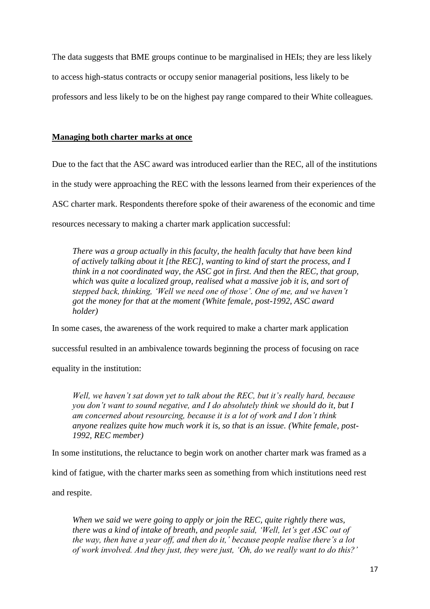The data suggests that BME groups continue to be marginalised in HEIs; they are less likely to access high-status contracts or occupy senior managerial positions, less likely to be professors and less likely to be on the highest pay range compared to their White colleagues.

# **Managing both charter marks at once**

Due to the fact that the ASC award was introduced earlier than the REC, all of the institutions in the study were approaching the REC with the lessons learned from their experiences of the ASC charter mark. Respondents therefore spoke of their awareness of the economic and time resources necessary to making a charter mark application successful:

*There was a group actually in this faculty, the health faculty that have been kind of actively talking about it [the REC], wanting to kind of start the process, and I think in a not coordinated way, the ASC got in first. And then the REC, that group, which was quite a localized group, realised what a massive job it is, and sort of stepped back, thinking, 'Well we need one of those'. One of me, and we haven't got the money for that at the moment (White female, post-1992, ASC award holder)*

In some cases, the awareness of the work required to make a charter mark application

successful resulted in an ambivalence towards beginning the process of focusing on race

equality in the institution:

*Well, we haven't sat down yet to talk about the REC, but it's really hard, because you don't want to sound negative, and I do absolutely think we should do it, but I am concerned about resourcing, because it is a lot of work and I don't think anyone realizes quite how much work it is, so that is an issue. (White female, post-1992, REC member)*

In some institutions, the reluctance to begin work on another charter mark was framed as a

kind of fatigue, with the charter marks seen as something from which institutions need rest

and respite.

*When we said we were going to apply or join the REC, quite rightly there was, there was a kind of intake of breath, and people said, 'Well, let's get ASC out of the way, then have a year off, and then do it,' because people realise there's a lot of work involved. And they just, they were just, 'Oh, do we really want to do this?'*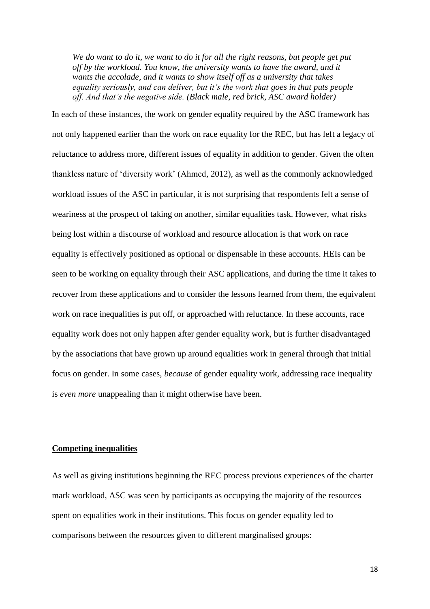*We do want to do it, we want to do it for all the right reasons, but people get put off by the workload. You know, the university wants to have the award, and it wants the accolade, and it wants to show itself off as a university that takes equality seriously, and can deliver, but it's the work that goes in that puts people off. And that's the negative side. (Black male, red brick, ASC award holder)*

In each of these instances, the work on gender equality required by the ASC framework has not only happened earlier than the work on race equality for the REC, but has left a legacy of reluctance to address more, different issues of equality in addition to gender. Given the often thankless nature of 'diversity work' (Ahmed, 2012), as well as the commonly acknowledged workload issues of the ASC in particular, it is not surprising that respondents felt a sense of weariness at the prospect of taking on another, similar equalities task. However, what risks being lost within a discourse of workload and resource allocation is that work on race equality is effectively positioned as optional or dispensable in these accounts. HEIs can be seen to be working on equality through their ASC applications, and during the time it takes to recover from these applications and to consider the lessons learned from them, the equivalent work on race inequalities is put off, or approached with reluctance. In these accounts, race equality work does not only happen after gender equality work, but is further disadvantaged by the associations that have grown up around equalities work in general through that initial focus on gender. In some cases, *because* of gender equality work, addressing race inequality is *even more* unappealing than it might otherwise have been.

# **Competing inequalities**

As well as giving institutions beginning the REC process previous experiences of the charter mark workload, ASC was seen by participants as occupying the majority of the resources spent on equalities work in their institutions. This focus on gender equality led to comparisons between the resources given to different marginalised groups: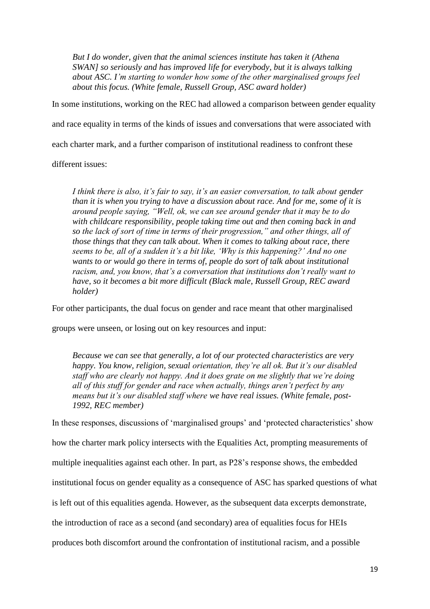*But I do wonder, given that the animal sciences institute has taken it (Athena SWAN] so seriously and has improved life for everybody, but it is always talking about ASC. I'm starting to wonder how some of the other marginalised groups feel about this focus. (White female, Russell Group, ASC award holder)*

In some institutions, working on the REC had allowed a comparison between gender equality

and race equality in terms of the kinds of issues and conversations that were associated with

each charter mark, and a further comparison of institutional readiness to confront these

different issues:

*I think there is also, it's fair to say, it's an easier conversation, to talk about gender than it is when you trying to have a discussion about race. And for me, some of it is around people saying, "Well, ok, we can see around gender that it may be to do with childcare responsibility, people taking time out and then coming back in and so the lack of sort of time in terms of their progression," and other things, all of those things that they can talk about. When it comes to talking about race, there seems to be, all of a sudden it's a bit like, 'Why is this happening?' And no one wants to or would go there in terms of, people do sort of talk about institutional racism, and, you know, that's a conversation that institutions don't really want to have, so it becomes a bit more difficult (Black male, Russell Group, REC award holder)*

For other participants, the dual focus on gender and race meant that other marginalised

groups were unseen, or losing out on key resources and input:

*Because we can see that generally, a lot of our protected characteristics are very happy. You know, religion, sexual orientation, they're all ok. But it's our disabled staff who are clearly not happy. And it does grate on me slightly that we're doing all of this stuff for gender and race when actually, things aren't perfect by any means but it's our disabled staff where we have real issues. (White female, post-1992, REC member)*

In these responses, discussions of 'marginalised groups' and 'protected characteristics' show

how the charter mark policy intersects with the Equalities Act, prompting measurements of

multiple inequalities against each other. In part, as P28's response shows, the embedded

institutional focus on gender equality as a consequence of ASC has sparked questions of what

is left out of this equalities agenda. However, as the subsequent data excerpts demonstrate,

the introduction of race as a second (and secondary) area of equalities focus for HEIs

produces both discomfort around the confrontation of institutional racism, and a possible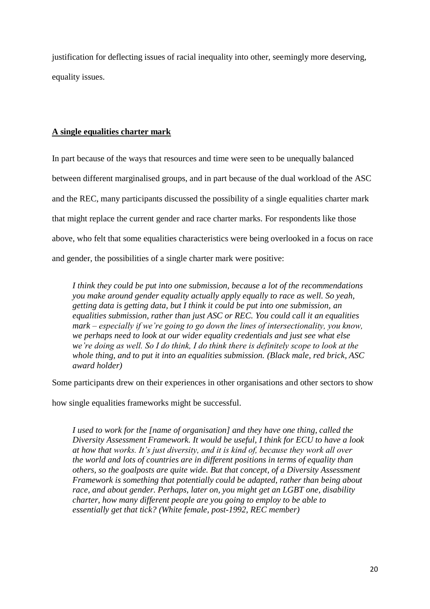justification for deflecting issues of racial inequality into other, seemingly more deserving, equality issues.

# **A single equalities charter mark**

In part because of the ways that resources and time were seen to be unequally balanced between different marginalised groups, and in part because of the dual workload of the ASC and the REC, many participants discussed the possibility of a single equalities charter mark that might replace the current gender and race charter marks. For respondents like those above, who felt that some equalities characteristics were being overlooked in a focus on race and gender, the possibilities of a single charter mark were positive:

*I think they could be put into one submission, because a lot of the recommendations you make around gender equality actually apply equally to race as well. So yeah, getting data is getting data, but I think it could be put into one submission, an equalities submission, rather than just ASC or REC. You could call it an equalities mark – especially if we're going to go down the lines of intersectionality, you know, we perhaps need to look at our wider equality credentials and just see what else we're doing as well. So I do think, I do think there is definitely scope to look at the whole thing, and to put it into an equalities submission. (Black male, red brick, ASC award holder)*

Some participants drew on their experiences in other organisations and other sectors to show

how single equalities frameworks might be successful.

*I used to work for the [name of organisation] and they have one thing, called the Diversity Assessment Framework. It would be useful, I think for ECU to have a look at how that works. It's just diversity, and it is kind of, because they work all over the world and lots of countries are in different positions in terms of equality than others, so the goalposts are quite wide. But that concept, of a Diversity Assessment Framework is something that potentially could be adapted, rather than being about race, and about gender. Perhaps, later on, you might get an LGBT one, disability charter, how many different people are you going to employ to be able to essentially get that tick? (White female, post-1992, REC member)*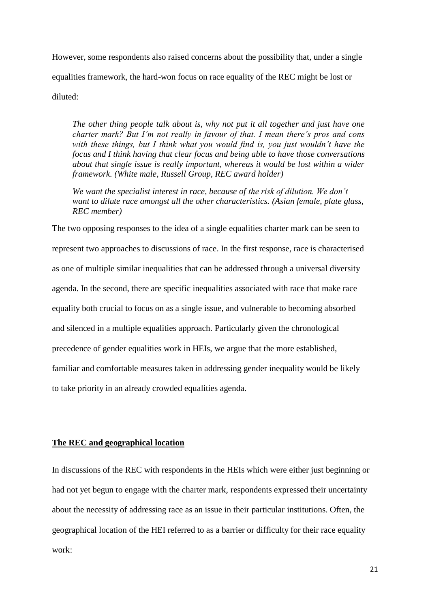However, some respondents also raised concerns about the possibility that, under a single equalities framework, the hard-won focus on race equality of the REC might be lost or diluted:

*The other thing people talk about is, why not put it all together and just have one charter mark? But I'm not really in favour of that. I mean there's pros and cons with these things, but I think what you would find is, you just wouldn't have the focus and I think having that clear focus and being able to have those conversations about that single issue is really important, whereas it would be lost within a wider framework. (White male, Russell Group, REC award holder)*

*We want the specialist interest in race, because of the risk of dilution. We don't want to dilute race amongst all the other characteristics. (Asian female, plate glass, REC member)*

The two opposing responses to the idea of a single equalities charter mark can be seen to represent two approaches to discussions of race. In the first response, race is characterised as one of multiple similar inequalities that can be addressed through a universal diversity agenda. In the second, there are specific inequalities associated with race that make race equality both crucial to focus on as a single issue, and vulnerable to becoming absorbed and silenced in a multiple equalities approach. Particularly given the chronological precedence of gender equalities work in HEIs, we argue that the more established, familiar and comfortable measures taken in addressing gender inequality would be likely to take priority in an already crowded equalities agenda.

# **The REC and geographical location**

In discussions of the REC with respondents in the HEIs which were either just beginning or had not yet begun to engage with the charter mark, respondents expressed their uncertainty about the necessity of addressing race as an issue in their particular institutions. Often, the geographical location of the HEI referred to as a barrier or difficulty for their race equality work: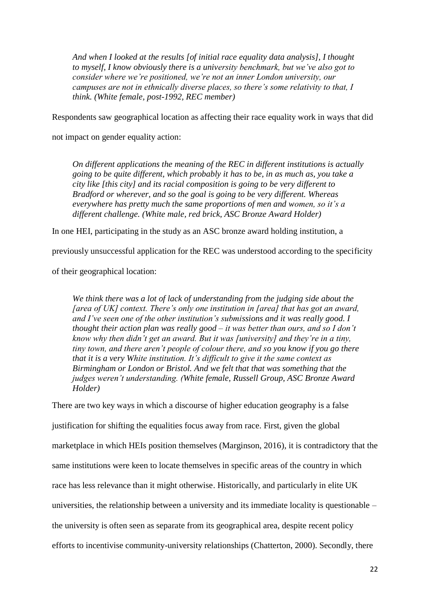*And when I looked at the results [of initial race equality data analysis], I thought to myself, I know obviously there is a university benchmark, but we've also got to consider where we're positioned, we're not an inner London university, our campuses are not in ethnically diverse places, so there's some relativity to that, I think. (White female, post-1992, REC member)*

Respondents saw geographical location as affecting their race equality work in ways that did

not impact on gender equality action:

*On different applications the meaning of the REC in different institutions is actually going to be quite different, which probably it has to be, in as much as, you take a city like [this city] and its racial composition is going to be very different to Bradford or wherever, and so the goal is going to be very different. Whereas everywhere has pretty much the same proportions of men and women, so it's a different challenge. (White male, red brick, ASC Bronze Award Holder)*

In one HEI, participating in the study as an ASC bronze award holding institution, a

previously unsuccessful application for the REC was understood according to the specificity

of their geographical location:

*We think there was a lot of lack of understanding from the judging side about the [area of UK] context. There's only one institution in [area] that has got an award, and I've seen one of the other institution's submissions and it was really good. I thought their action plan was really good – it was better than ours, and so I don't know why then didn't get an award. But it was [university] and they're in a tiny, tiny town, and there aren't people of colour there, and so you know if you go there that it is a very White institution. It's difficult to give it the same context as Birmingham or London or Bristol. And we felt that that was something that the judges weren't understanding. (White female, Russell Group, ASC Bronze Award Holder)*

There are two key ways in which a discourse of higher education geography is a false

justification for shifting the equalities focus away from race. First, given the global marketplace in which HEIs position themselves (Marginson, 2016), it is contradictory that the same institutions were keen to locate themselves in specific areas of the country in which race has less relevance than it might otherwise. Historically, and particularly in elite UK universities, the relationship between a university and its immediate locality is questionable – the university is often seen as separate from its geographical area, despite recent policy efforts to incentivise community-university relationships (Chatterton, 2000). Secondly, there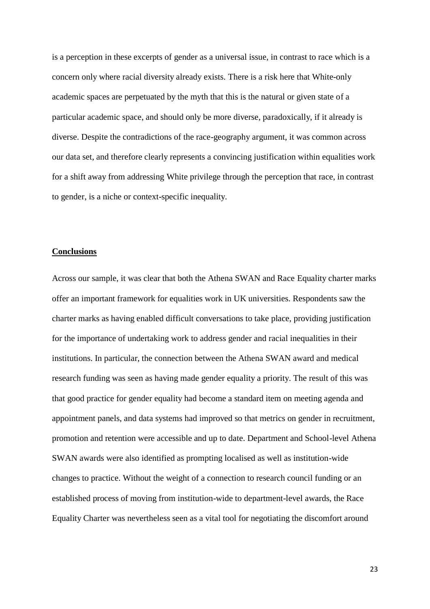is a perception in these excerpts of gender as a universal issue, in contrast to race which is a concern only where racial diversity already exists. There is a risk here that White-only academic spaces are perpetuated by the myth that this is the natural or given state of a particular academic space, and should only be more diverse, paradoxically, if it already is diverse. Despite the contradictions of the race-geography argument, it was common across our data set, and therefore clearly represents a convincing justification within equalities work for a shift away from addressing White privilege through the perception that race, in contrast to gender, is a niche or context-specific inequality.

# **Conclusions**

Across our sample, it was clear that both the Athena SWAN and Race Equality charter marks offer an important framework for equalities work in UK universities. Respondents saw the charter marks as having enabled difficult conversations to take place, providing justification for the importance of undertaking work to address gender and racial inequalities in their institutions. In particular, the connection between the Athena SWAN award and medical research funding was seen as having made gender equality a priority. The result of this was that good practice for gender equality had become a standard item on meeting agenda and appointment panels, and data systems had improved so that metrics on gender in recruitment, promotion and retention were accessible and up to date. Department and School-level Athena SWAN awards were also identified as prompting localised as well as institution-wide changes to practice. Without the weight of a connection to research council funding or an established process of moving from institution-wide to department-level awards, the Race Equality Charter was nevertheless seen as a vital tool for negotiating the discomfort around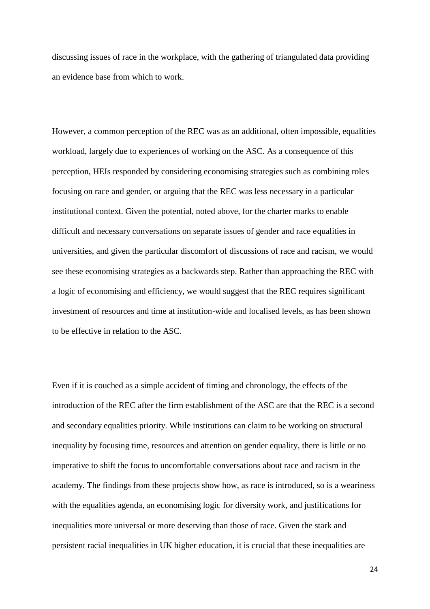discussing issues of race in the workplace, with the gathering of triangulated data providing an evidence base from which to work.

However, a common perception of the REC was as an additional, often impossible, equalities workload, largely due to experiences of working on the ASC. As a consequence of this perception, HEIs responded by considering economising strategies such as combining roles focusing on race and gender, or arguing that the REC was less necessary in a particular institutional context. Given the potential, noted above, for the charter marks to enable difficult and necessary conversations on separate issues of gender and race equalities in universities, and given the particular discomfort of discussions of race and racism, we would see these economising strategies as a backwards step. Rather than approaching the REC with a logic of economising and efficiency, we would suggest that the REC requires significant investment of resources and time at institution-wide and localised levels, as has been shown to be effective in relation to the ASC.

Even if it is couched as a simple accident of timing and chronology, the effects of the introduction of the REC after the firm establishment of the ASC are that the REC is a second and secondary equalities priority. While institutions can claim to be working on structural inequality by focusing time, resources and attention on gender equality, there is little or no imperative to shift the focus to uncomfortable conversations about race and racism in the academy. The findings from these projects show how, as race is introduced, so is a weariness with the equalities agenda, an economising logic for diversity work, and justifications for inequalities more universal or more deserving than those of race. Given the stark and persistent racial inequalities in UK higher education, it is crucial that these inequalities are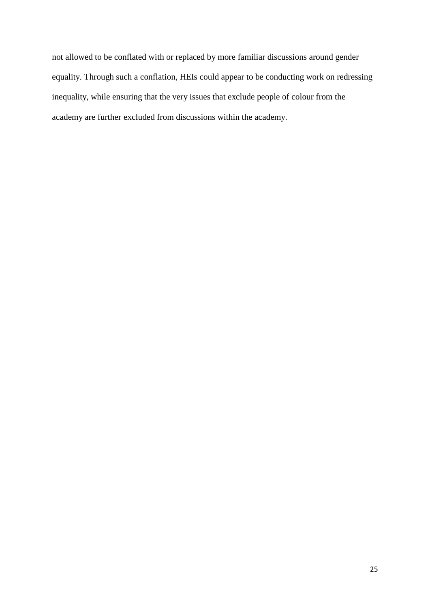not allowed to be conflated with or replaced by more familiar discussions around gender equality. Through such a conflation, HEIs could appear to be conducting work on redressing inequality, while ensuring that the very issues that exclude people of colour from the academy are further excluded from discussions within the academy.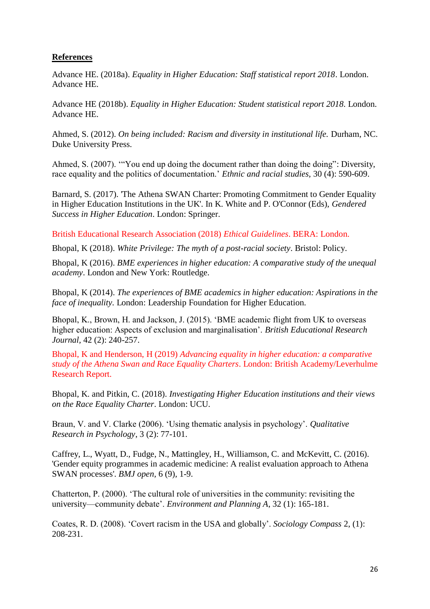# **References**

Advance HE. (2018a). *Equality in Higher Education: Staff statistical report 2018*. London. Advance HE.

Advance HE (2018b). *Equality in Higher Education: Student statistical report 2018*. London. Advance HE.

Ahmed, S. (2012). *On being included: Racism and diversity in institutional life.* Durham, NC. Duke University Press.

Ahmed, S. (2007). '"You end up doing the document rather than doing the doing": Diversity, race equality and the politics of documentation.' *Ethnic and racial studies,* 30 (4): 590-609.

Barnard, S. (2017). 'The Athena SWAN Charter: Promoting Commitment to Gender Equality in Higher Education Institutions in the UK'. In K. White and P. O'Connor (Eds), *Gendered Success in Higher Education*. London: Springer.

British Educational Research Association (2018) *Ethical Guidelines*. BERA: London.

Bhopal, K (2018). *White Privilege: The myth of a post-racial society*. Bristol: Policy.

Bhopal, K (2016). *BME experiences in higher education: A comparative study of the unequal academy*. London and New York: Routledge.

Bhopal, K (2014). *The experiences of BME academics in higher education: Aspirations in the face of inequality.* London: Leadership Foundation for Higher Education.

Bhopal, K., Brown, H. and Jackson, J. (2015). 'BME academic flight from UK to overseas higher education: Aspects of exclusion and marginalisation'. *British Educational Research Journal,* 42 (2): 240-257.

Bhopal, K and Henderson, H (2019) *Advancing equality in higher education: a comparative study of the Athena Swan and Race Equality Charters*. London: British Academy/Leverhulme Research Report.

Bhopal, K. and Pitkin, C. (2018). *Investigating Higher Education institutions and their views on the Race Equality Charter*. London: UCU.

Braun, V. and V. Clarke (2006). 'Using thematic analysis in psychology'. *Qualitative Research in Psychology*, 3 (2): 77-101.

Caffrey, L., Wyatt, D., Fudge, N., Mattingley, H., Williamson, C. and McKevitt, C. (2016). 'Gender equity programmes in academic medicine: A realist evaluation approach to Athena SWAN processes'. *BMJ open,* 6 (9)*,* 1-9.

Chatterton, P. (2000). 'The cultural role of universities in the community: revisiting the university—community debate'. *Environment and Planning A*, 32 (1): 165-181.

Coates, R. D. (2008). 'Covert racism in the USA and globally'. *Sociology Compass* 2, (1): 208-231.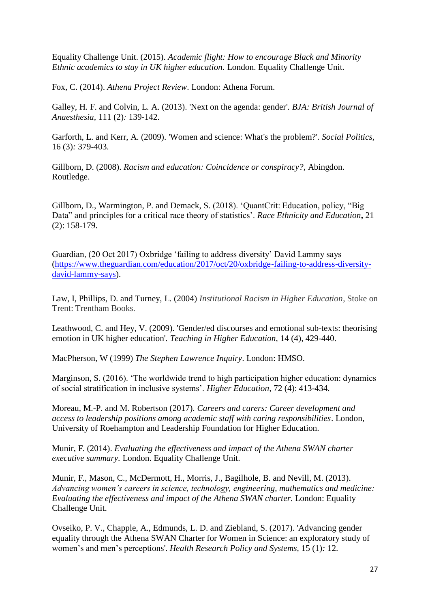Equality Challenge Unit. (2015). *Academic flight: How to encourage Black and Minority Ethnic academics to stay in UK higher education.* London. Equality Challenge Unit.

Fox, C. (2014). *Athena Project Review*. London: Athena Forum.

Galley, H. F. and Colvin, L. A. (2013). 'Next on the agenda: gender'. *BJA: British Journal of Anaesthesia,* 111 (2)*:* 139-142.

Garforth, L. and Kerr, A. (2009). 'Women and science: What's the problem?'. *Social Politics,* 16 (3)*:* 379-403.

Gillborn, D. (2008). *Racism and education: Coincidence or conspiracy?,* Abingdon. Routledge.

Gillborn, D., Warmington, P. and Demack, S. (2018). 'QuantCrit: Education, policy, "Big Data" and principles for a critical race theory of statistics'. *Race Ethnicity and Education***,** 21 (2): 158-179.

Guardian, (20 Oct 2017) Oxbridge 'failing to address diversity' David Lammy says [\(https://www.theguardian.com/education/2017/oct/20/oxbridge-failing-to-address-diversity](https://www.theguardian.com/education/2017/oct/20/oxbridge-failing-to-address-diversity-david-lammy-says)[david-lammy-says\)](https://www.theguardian.com/education/2017/oct/20/oxbridge-failing-to-address-diversity-david-lammy-says).

Law, I, Phillips, D. and Turney, L. (2004) *Institutional Racism in Higher Education*, Stoke on Trent: Trentham Books.

Leathwood, C. and Hey, V. (2009). 'Gender/ed discourses and emotional sub-texts: theorising emotion in UK higher education'. *Teaching in Higher Education,* 14 (4)*,* 429-440.

MacPherson, W (1999) *The Stephen Lawrence Inquiry*. London: HMSO.

Marginson, S. (2016). 'The worldwide trend to high participation higher education: dynamics of social stratification in inclusive systems'. *Higher Education,* 72 (4): 413-434.

Moreau, M.-P. and M. Robertson (2017). *Careers and carers: Career development and access to leadership positions among academic staff with caring responsibilities*. London, University of Roehampton and Leadership Foundation for Higher Education.

Munir, F. (2014). *Evaluating the effectiveness and impact of the Athena SWAN charter executive summary.* London. Equality Challenge Unit.

Munir, F., Mason, C., McDermott, H., Morris, J., Bagilhole, B. and Nevill, M. (2013). *Advancing women's careers in science, technology, engineering, mathematics and medicine: Evaluating the effectiveness and impact of the Athena SWAN charter*. London: Equality Challenge Unit.

Ovseiko, P. V., Chapple, A., Edmunds, L. D. and Ziebland, S. (2017). 'Advancing gender equality through the Athena SWAN Charter for Women in Science: an exploratory study of women's and men's perceptions'. *Health Research Policy and Systems,* 15 (1)*:* 12.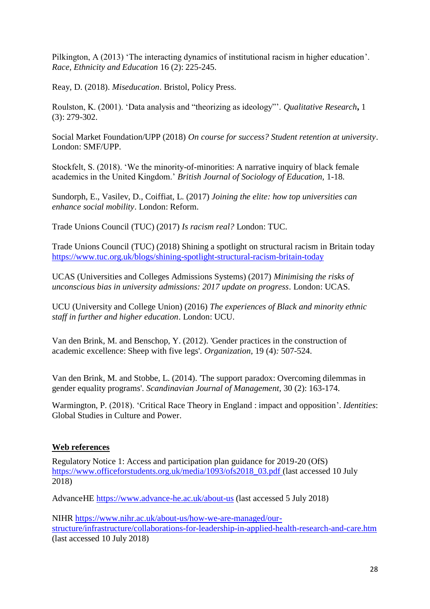Pilkington, A (2013) 'The interacting dynamics of institutional racism in higher education'. *Race, Ethnicity and Education* 16 (2): 225-245.

Reay, D. (2018). *Miseducation*. Bristol, Policy Press.

Roulston, K. (2001). 'Data analysis and "theorizing as ideology"'. *Qualitative Research***,** 1 (3): 279-302.

Social Market Foundation/UPP (2018) *On course for success? Student retention at university*. London: SMF/UPP.

Stockfelt, S. (2018). 'We the minority-of-minorities: A narrative inquiry of black female academics in the United Kingdom.' *British Journal of Sociology of Education,* 1-18.

Sundorph, E., Vasilev, D., Coiffiat, L. (2017) *Joining the elite: how top universities can enhance social mobility*. London: Reform.

Trade Unions Council (TUC) (2017) *Is racism real?* London: TUC.

Trade Unions Council (TUC) (2018) Shining a spotlight on structural racism in Britain today <https://www.tuc.org.uk/blogs/shining-spotlight-structural-racism-britain-today>

UCAS (Universities and Colleges Admissions Systems) (2017) *Minimising the risks of unconscious bias in university admissions: 2017 update on progress*. London: UCAS.

UCU (University and College Union) (2016) *The experiences of Black and minority ethnic staff in further and higher education*. London: UCU.

Van den Brink, M. and Benschop, Y. (2012). 'Gender practices in the construction of academic excellence: Sheep with five legs'. *Organization,* 19 (4)*:* 507-524.

Van den Brink, M. and Stobbe, L. (2014). 'The support paradox: Overcoming dilemmas in gender equality programs'. *Scandinavian Journal of Management,* 30 (2): 163-174.

Warmington, P. (2018). 'Critical Race Theory in England : impact and opposition'. *Identities*: Global Studies in Culture and Power.

# **Web references**

Regulatory Notice 1: Access and participation plan guidance for 2019-20 (OfS) [https://www.officeforstudents.org.uk/media/1093/ofs2018\\_03.pdf](https://www.officeforstudents.org.uk/media/1093/ofs2018_03.pdf) (last accessed 10 July 2018)

AdvanceHE<https://www.advance-he.ac.uk/about-us> (last accessed 5 July 2018)

NIHR [https://www.nihr.ac.uk/about-us/how-we-are-managed/our](https://www.nihr.ac.uk/about-us/how-we-are-managed/our-structure/infrastructure/collaborations-for-leadership-in-applied-health-research-and-care.htm)[structure/infrastructure/collaborations-for-leadership-in-applied-health-research-and-care.htm](https://www.nihr.ac.uk/about-us/how-we-are-managed/our-structure/infrastructure/collaborations-for-leadership-in-applied-health-research-and-care.htm) (last accessed 10 July 2018)